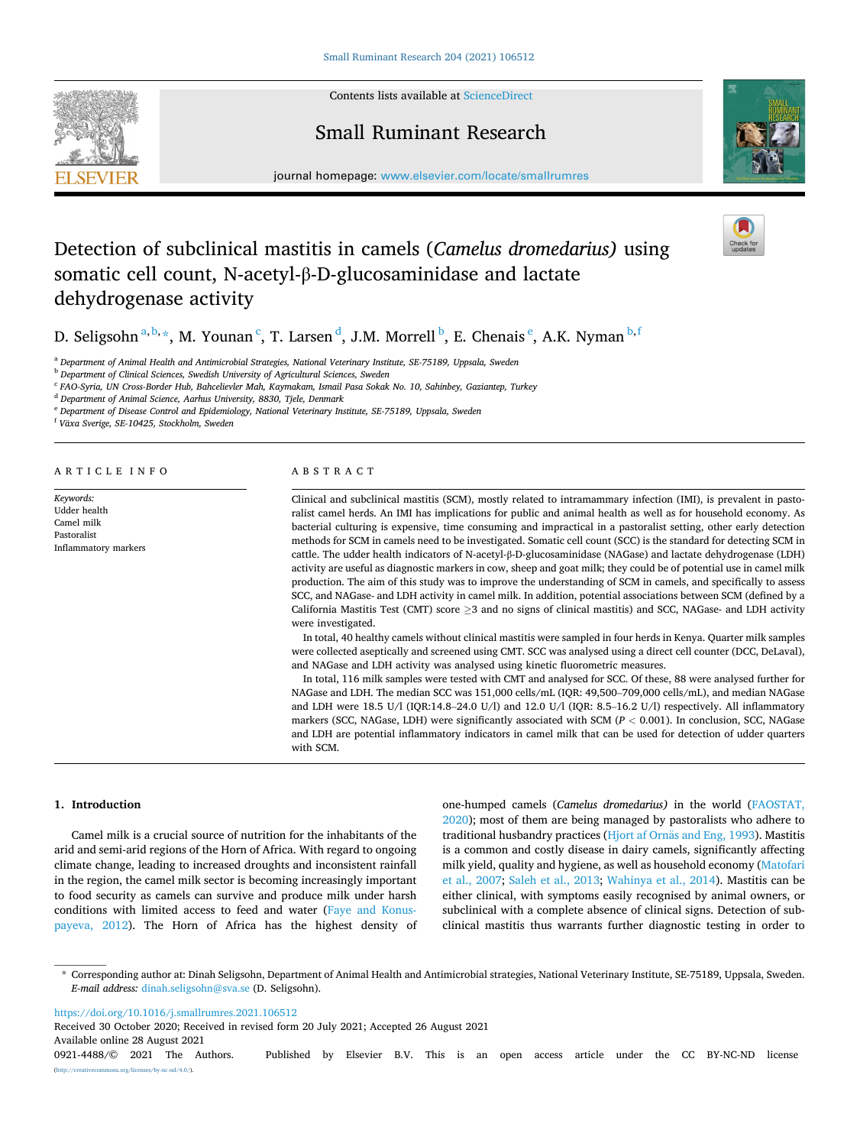

Contents lists available at [ScienceDirect](www.sciencedirect.com/science/journal/09214488)

## Small Ruminant Research

journal homepage: [www.elsevier.com/locate/smallrumres](https://www.elsevier.com/locate/smallrumres) 



# Detection of subclinical mastitis in camels (*Camelus dromedarius)* using somatic cell count, N-acetyl-β-D-glucosaminidase and lactate dehydrogenase activity

D. Seligsohn $^{a,b,\star}$ , M. Younan  $^c$ , T. Larsen  $^d$ , J.M. Morrell  $^b$ , E. Chenais  $^e$ , A.K. Nyman  $^{b,f}$ 

<sup>a</sup> *Department of Animal Health and Antimicrobial Strategies, National Veterinary Institute, SE-75189, Uppsala, Sweden* 

<sup>b</sup> *Department of Clinical Sciences, Swedish University of Agricultural Sciences, Sweden* 

<sup>c</sup> *FAO-Syria, UN Cross-Border Hub, Bahcelievler Mah, Kaymakam, Ismail Pasa Sokak No. 10, Sahinbey, Gaziantep, Turkey* 

<sup>d</sup> *Department of Animal Science, Aarhus University, 8830, Tjele, Denmark* 

<sup>e</sup> *Department of Disease Control and Epidemiology, National Veterinary Institute, SE-75189, Uppsala, Sweden* 

<sup>f</sup> Växa Sverige, SE-10425, Stockholm, Sweden

ARTICLE INFO

*Keywords:*  Udder health Camel milk Pastoralist Inflammatory markers

## ABSTRACT

Clinical and subclinical mastitis (SCM), mostly related to intramammary infection (IMI), is prevalent in pastoralist camel herds. An IMI has implications for public and animal health as well as for household economy. As bacterial culturing is expensive, time consuming and impractical in a pastoralist setting, other early detection methods for SCM in camels need to be investigated. Somatic cell count (SCC) is the standard for detecting SCM in cattle. The udder health indicators of N-acetyl-β-D-glucosaminidase (NAGase) and lactate dehydrogenase (LDH) activity are useful as diagnostic markers in cow, sheep and goat milk; they could be of potential use in camel milk production. The aim of this study was to improve the understanding of SCM in camels, and specifically to assess SCC, and NAGase- and LDH activity in camel milk. In addition, potential associations between SCM (defined by a California Mastitis Test (CMT) score  $\geq$ 3 and no signs of clinical mastitis) and SCC, NAGase- and LDH activity were investigated.

In total, 40 healthy camels without clinical mastitis were sampled in four herds in Kenya. Quarter milk samples were collected aseptically and screened using CMT. SCC was analysed using a direct cell counter (DCC, DeLaval), and NAGase and LDH activity was analysed using kinetic fluorometric measures.

In total, 116 milk samples were tested with CMT and analysed for SCC. Of these, 88 were analysed further for NAGase and LDH. The median SCC was 151,000 cells/mL (IQR: 49,500–709,000 cells/mL), and median NAGase and LDH were 18.5 U/l (IQR:14.8–24.0 U/l) and 12.0 U/l (IQR: 8.5–16.2 U/l) respectively. All inflammatory markers (SCC, NAGase, LDH) were significantly associated with SCM (*P <* 0.001). In conclusion, SCC, NAGase and LDH are potential inflammatory indicators in camel milk that can be used for detection of udder quarters with SCM.

## **1. Introduction**

Camel milk is a crucial source of nutrition for the inhabitants of the arid and semi-arid regions of the Horn of Africa. With regard to ongoing climate change, leading to increased droughts and inconsistent rainfall in the region, the camel milk sector is becoming increasingly important to food security as camels can survive and produce milk under harsh conditions with limited access to feed and water ([Faye and Konus](#page-4-0)[payeva, 2012\)](#page-4-0). The Horn of Africa has the highest density of one-humped camels (*Camelus dromedarius)* in the world ([FAOSTAT,](#page-4-0)  [2020\)](#page-4-0); most of them are being managed by pastoralists who adhere to traditional husbandry practices (Hjort af Ornäs and Eng, 1993). Mastitis is a common and costly disease in dairy camels, significantly affecting milk yield, quality and hygiene, as well as household economy [\(Matofari](#page-5-0)  [et al., 2007;](#page-5-0) [Saleh et al., 2013;](#page-5-0) [Wahinya et al., 2014\)](#page-5-0). Mastitis can be either clinical, with symptoms easily recognised by animal owners, or subclinical with a complete absence of clinical signs. Detection of subclinical mastitis thus warrants further diagnostic testing in order to

<https://doi.org/10.1016/j.smallrumres.2021.106512>

Received 30 October 2020; Received in revised form 20 July 2021; Accepted 26 August 2021

Available online 28 August 2021 0921-4488/© 2021 The Authors. Published by Elsevier B.V. This is an open access article under the CC BY-NC-ND license [\(http://creativecommons.org/licenses/by-nc-nd/4.0/\)](http://creativecommons.org/licenses/by-nc-nd/4.0/).

<sup>\*</sup> Corresponding author at: Dinah Seligsohn, Department of Animal Health and Antimicrobial strategies, National Veterinary Institute, SE-75189, Uppsala, Sweden. *E-mail address:* [dinah.seligsohn@sva.se](mailto:dinah.seligsohn@sva.se) (D. Seligsohn).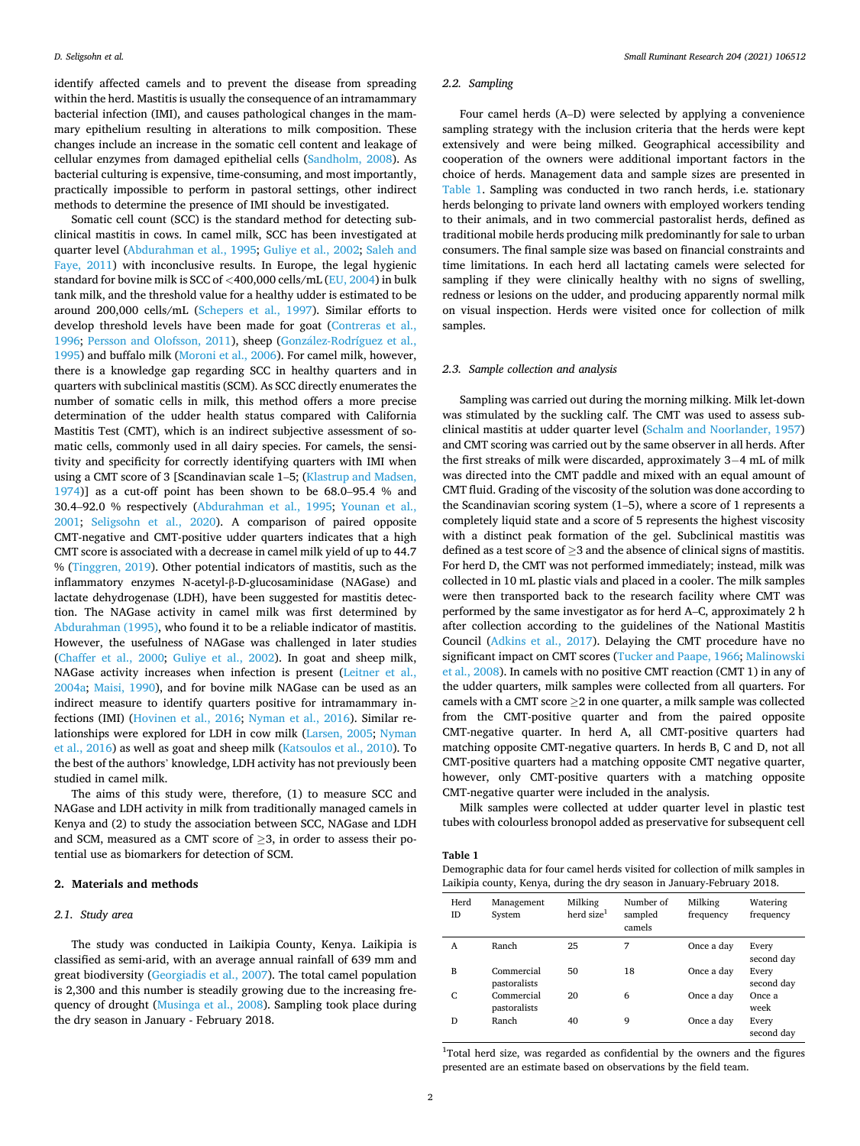identify affected camels and to prevent the disease from spreading within the herd. Mastitis is usually the consequence of an intramammary bacterial infection (IMI), and causes pathological changes in the mammary epithelium resulting in alterations to milk composition. These changes include an increase in the somatic cell content and leakage of cellular enzymes from damaged epithelial cells [\(Sandholm, 2008\)](#page-5-0). As bacterial culturing is expensive, time-consuming, and most importantly, practically impossible to perform in pastoral settings, other indirect methods to determine the presence of IMI should be investigated.

Somatic cell count (SCC) is the standard method for detecting subclinical mastitis in cows. In camel milk, SCC has been investigated at quarter level [\(Abdurahman et al., 1995;](#page-4-0) [Guliye et al., 2002](#page-5-0); [Saleh and](#page-5-0)  [Faye, 2011](#page-5-0)) with inconclusive results. In Europe, the legal hygienic standard for bovine milk is SCC of *<*400,000 cells/mL ([EU, 2004\)](#page-4-0) in bulk tank milk, and the threshold value for a healthy udder is estimated to be around 200,000 cells/mL ([Schepers et al., 1997](#page-5-0)). Similar efforts to develop threshold levels have been made for goat ([Contreras et al.,](#page-4-0)  [1996;](#page-4-0) [Persson and Olofsson, 2011](#page-5-0)), sheep (González-Rodríguez et al., [1995\)](#page-4-0) and buffalo milk ([Moroni et al., 2006\)](#page-5-0). For camel milk, however, there is a knowledge gap regarding SCC in healthy quarters and in quarters with subclinical mastitis (SCM). As SCC directly enumerates the number of somatic cells in milk, this method offers a more precise determination of the udder health status compared with California Mastitis Test (CMT), which is an indirect subjective assessment of somatic cells, commonly used in all dairy species. For camels, the sensitivity and specificity for correctly identifying quarters with IMI when using a CMT score of 3 [Scandinavian scale 1–5; [\(Klastrup and Madsen,](#page-5-0)  [1974\)](#page-5-0)] as a cut-off point has been shown to be 68.0–95.4 % and 30.4–92.0 % respectively ([Abdurahman et al., 1995](#page-4-0); [Younan et al.,](#page-5-0)  [2001;](#page-5-0) [Seligsohn et al., 2020\)](#page-5-0). A comparison of paired opposite CMT-negative and CMT-positive udder quarters indicates that a high CMT score is associated with a decrease in camel milk yield of up to 44.7 % [\(Tinggren, 2019\)](#page-5-0). Other potential indicators of mastitis, such as the inflammatory enzymes N-acetyl-β-D-glucosaminidase (NAGase) and lactate dehydrogenase (LDH), have been suggested for mastitis detection. The NAGase activity in camel milk was first determined by [Abdurahman \(1995\),](#page-4-0) who found it to be a reliable indicator of mastitis. However, the usefulness of NAGase was challenged in later studies ([Chaffer et al., 2000;](#page-4-0) [Guliye et al., 2002](#page-5-0)). In goat and sheep milk, NAGase activity increases when infection is present ([Leitner et al.,](#page-5-0)  [2004a;](#page-5-0) [Maisi, 1990\)](#page-5-0), and for bovine milk NAGase can be used as an indirect measure to identify quarters positive for intramammary infections (IMI) [\(Hovinen et al., 2016;](#page-5-0) [Nyman et al., 2016](#page-5-0)). Similar relationships were explored for LDH in cow milk [\(Larsen, 2005](#page-5-0); [Nyman](#page-5-0)  [et al., 2016\)](#page-5-0) as well as goat and sheep milk ([Katsoulos et al., 2010\)](#page-5-0). To the best of the authors' knowledge, LDH activity has not previously been studied in camel milk.

The aims of this study were, therefore, (1) to measure SCC and NAGase and LDH activity in milk from traditionally managed camels in Kenya and (2) to study the association between SCC, NAGase and LDH and SCM, measured as a CMT score of  $\geq$ 3, in order to assess their potential use as biomarkers for detection of SCM.

#### **2. Materials and methods**

#### *2.1. Study area*

The study was conducted in Laikipia County, Kenya. Laikipia is classified as semi-arid, with an average annual rainfall of 639 mm and great biodiversity [\(Georgiadis et al., 2007](#page-4-0)). The total camel population is 2,300 and this number is steadily growing due to the increasing fre-quency of drought ([Musinga et al., 2008](#page-5-0)). Sampling took place during the dry season in January - February 2018.

#### *2.2. Sampling*

Four camel herds (A–D) were selected by applying a convenience sampling strategy with the inclusion criteria that the herds were kept extensively and were being milked. Geographical accessibility and cooperation of the owners were additional important factors in the choice of herds. Management data and sample sizes are presented in Table 1. Sampling was conducted in two ranch herds, i.e. stationary herds belonging to private land owners with employed workers tending to their animals, and in two commercial pastoralist herds, defined as traditional mobile herds producing milk predominantly for sale to urban consumers. The final sample size was based on financial constraints and time limitations. In each herd all lactating camels were selected for sampling if they were clinically healthy with no signs of swelling, redness or lesions on the udder, and producing apparently normal milk on visual inspection. Herds were visited once for collection of milk samples.

#### *2.3. Sample collection and analysis*

Sampling was carried out during the morning milking. Milk let-down was stimulated by the suckling calf. The CMT was used to assess subclinical mastitis at udder quarter level [\(Schalm and Noorlander, 1957\)](#page-5-0) and CMT scoring was carried out by the same observer in all herds. After the first streaks of milk were discarded, approximately 3− 4 mL of milk was directed into the CMT paddle and mixed with an equal amount of CMT fluid. Grading of the viscosity of the solution was done according to the Scandinavian scoring system (1–5), where a score of 1 represents a completely liquid state and a score of 5 represents the highest viscosity with a distinct peak formation of the gel. Subclinical mastitis was defined as a test score of  $\geq$ 3 and the absence of clinical signs of mastitis. For herd D, the CMT was not performed immediately; instead, milk was collected in 10 mL plastic vials and placed in a cooler. The milk samples were then transported back to the research facility where CMT was performed by the same investigator as for herd A–C, approximately 2 h after collection according to the guidelines of the National Mastitis Council [\(Adkins et al., 2017\)](#page-4-0). Delaying the CMT procedure have no significant impact on CMT scores ([Tucker and Paape, 1966; Malinowski](#page-5-0)  [et al., 2008\)](#page-5-0). In camels with no positive CMT reaction (CMT 1) in any of the udder quarters, milk samples were collected from all quarters. For camels with a CMT score  $\geq$  2 in one quarter, a milk sample was collected from the CMT-positive quarter and from the paired opposite CMT-negative quarter. In herd A, all CMT-positive quarters had matching opposite CMT-negative quarters. In herds B, C and D, not all CMT-positive quarters had a matching opposite CMT negative quarter, however, only CMT-positive quarters with a matching opposite CMT-negative quarter were included in the analysis.

Milk samples were collected at udder quarter level in plastic test tubes with colourless bronopol added as preservative for subsequent cell

#### **Table 1**

Demographic data for four camel herds visited for collection of milk samples in Laikipia county, Kenya, during the dry season in January-February 2018.

| Herd<br>ID | Management<br>System       | Milking<br>herd size <sup>1</sup> | Number of<br>sampled<br>camels | Milking<br>frequency | Watering<br>frequency |
|------------|----------------------------|-----------------------------------|--------------------------------|----------------------|-----------------------|
| A          | Ranch                      | 25                                | 7                              | Once a day           | Every<br>second day   |
| B          | Commercial<br>pastoralists | 50                                | 18                             | Once a day           | Every<br>second day   |
| C          | Commercial<br>pastoralists | 20                                | 6                              | Once a day           | Once a<br>week        |
| D          | Ranch                      | 40                                | 9                              | Once a day           | Every<br>second day   |

<sup>1</sup>Total herd size, was regarded as confidential by the owners and the figures presented are an estimate based on observations by the field team.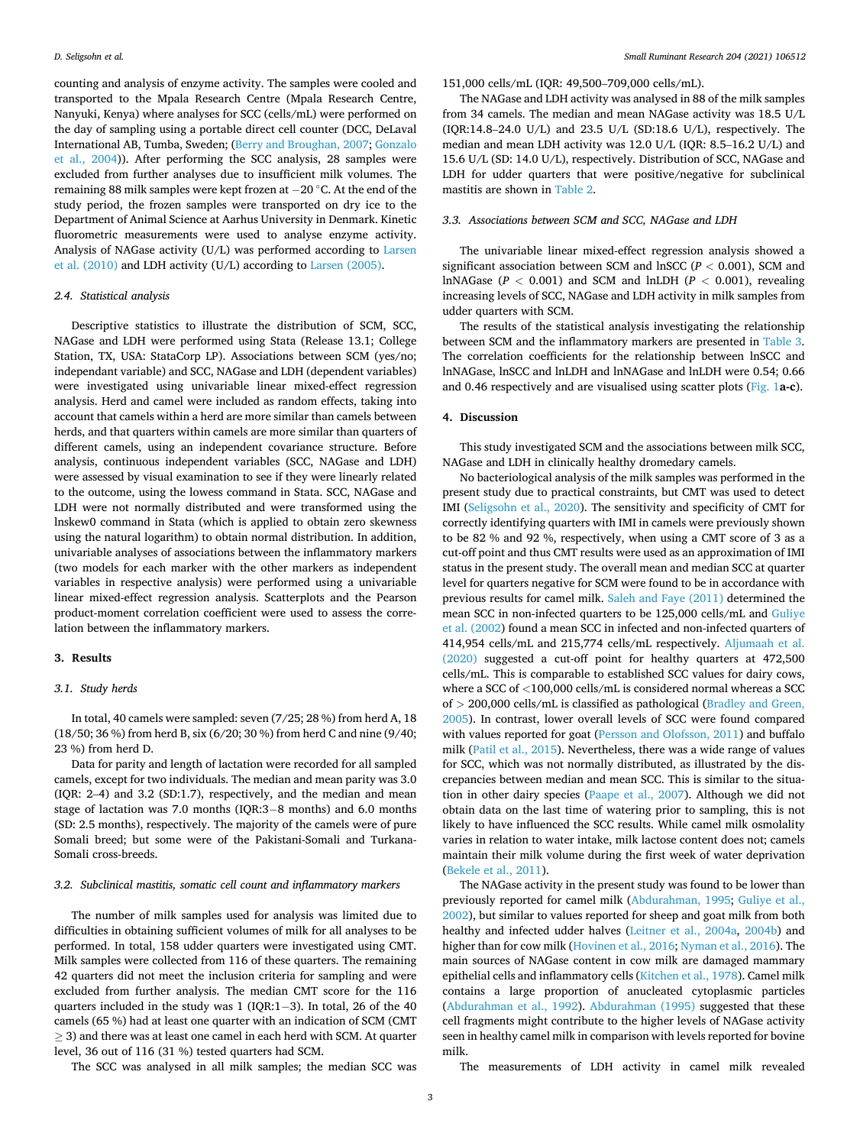counting and analysis of enzyme activity. The samples were cooled and transported to the Mpala Research Centre (Mpala Research Centre, Nanyuki, Kenya) where analyses for SCC (cells/mL) were performed on the day of sampling using a portable direct cell counter (DCC, DeLaval International AB, Tumba, Sweden; [\(Berry and Broughan, 2007; Gonzalo](#page-4-0)  [et al., 2004](#page-4-0))). After performing the SCC analysis, 28 samples were excluded from further analyses due to insufficient milk volumes. The remaining 88 milk samples were kept frozen at − 20 ◦C. At the end of the study period, the frozen samples were transported on dry ice to the Department of Animal Science at Aarhus University in Denmark. Kinetic fluorometric measurements were used to analyse enzyme activity. Analysis of NAGase activity (U/L) was performed according to [Larsen](#page-5-0)  [et al. \(2010\)](#page-5-0) and LDH activity (U/L) according to [Larsen \(2005\)](#page-5-0).

#### *2.4. Statistical analysis*

Descriptive statistics to illustrate the distribution of SCM, SCC, NAGase and LDH were performed using Stata (Release 13.1; College Station, TX, USA: StataCorp LP). Associations between SCM (yes/no; independant variable) and SCC, NAGase and LDH (dependent variables) were investigated using univariable linear mixed-effect regression analysis. Herd and camel were included as random effects, taking into account that camels within a herd are more similar than camels between herds, and that quarters within camels are more similar than quarters of different camels, using an independent covariance structure. Before analysis, continuous independent variables (SCC, NAGase and LDH) were assessed by visual examination to see if they were linearly related to the outcome, using the lowess command in Stata. SCC, NAGase and LDH were not normally distributed and were transformed using the lnskew0 command in Stata (which is applied to obtain zero skewness using the natural logarithm) to obtain normal distribution. In addition, univariable analyses of associations between the inflammatory markers (two models for each marker with the other markers as independent variables in respective analysis) were performed using a univariable linear mixed-effect regression analysis. Scatterplots and the Pearson product-moment correlation coefficient were used to assess the correlation between the inflammatory markers.

#### **3. Results**

## *3.1. Study herds*

In total, 40 camels were sampled: seven (7/25; 28 %) from herd A, 18 (18/50; 36 %) from herd B, six (6/20; 30 %) from herd C and nine (9/40; 23 %) from herd D.

Data for parity and length of lactation were recorded for all sampled camels, except for two individuals. The median and mean parity was 3.0 (IQR: 2–4) and 3.2 (SD:1.7), respectively, and the median and mean stage of lactation was 7.0 months (IQR:3–8 months) and 6.0 months (SD: 2.5 months), respectively. The majority of the camels were of pure Somali breed; but some were of the Pakistani-Somali and Turkana-Somali cross-breeds.

## *3.2. Subclinical mastitis, somatic cell count and inflammatory markers*

The number of milk samples used for analysis was limited due to difficulties in obtaining sufficient volumes of milk for all analyses to be performed. In total, 158 udder quarters were investigated using CMT. Milk samples were collected from 116 of these quarters. The remaining 42 quarters did not meet the inclusion criteria for sampling and were excluded from further analysis. The median CMT score for the 116 quarters included in the study was 1 (IQR:1-3). In total, 26 of the 40 camels (65 %) had at least one quarter with an indication of SCM (CMT  $\geq$  3) and there was at least one camel in each herd with SCM. At quarter level, 36 out of 116 (31 %) tested quarters had SCM.

## 151,000 cells/mL (IQR: 49,500–709,000 cells/mL).

The NAGase and LDH activity was analysed in 88 of the milk samples from 34 camels. The median and mean NAGase activity was 18.5 U/L (IQR:14.8–24.0 U/L) and 23.5 U/L (SD:18.6 U/L), respectively. The median and mean LDH activity was 12.0 U/L (IQR: 8.5–16.2 U/L) and 15.6 U/L (SD: 14.0 U/L), respectively. Distribution of SCC, NAGase and LDH for udder quarters that were positive/negative for subclinical mastitis are shown in [Table 2.](#page-3-0)

#### *3.3. Associations between SCM and SCC, NAGase and LDH*

The univariable linear mixed-effect regression analysis showed a significant association between SCM and lnSCC (*P <* 0.001), SCM and lnNAGase ( $P < 0.001$ ) and SCM and lnLDH ( $P < 0.001$ ), revealing increasing levels of SCC, NAGase and LDH activity in milk samples from udder quarters with SCM.

The results of the statistical analysis investigating the relationship between SCM and the inflammatory markers are presented in [Table 3](#page-3-0). The correlation coefficients for the relationship between lnSCC and lnNAGase, lnSCC and lnLDH and lnNAGase and lnLDH were 0.54; 0.66 and 0.46 respectively and are visualised using scatter plots [\(Fig. 1](#page-4-0)**a-c**).

## **4. Discussion**

This study investigated SCM and the associations between milk SCC, NAGase and LDH in clinically healthy dromedary camels.

No bacteriological analysis of the milk samples was performed in the present study due to practical constraints, but CMT was used to detect IMI ([Seligsohn et al., 2020\)](#page-5-0). The sensitivity and specificity of CMT for correctly identifying quarters with IMI in camels were previously shown to be 82 % and 92 %, respectively, when using a CMT score of 3 as a cut-off point and thus CMT results were used as an approximation of IMI status in the present study. The overall mean and median SCC at quarter level for quarters negative for SCM were found to be in accordance with previous results for camel milk. [Saleh and Faye \(2011\)](#page-5-0) determined the mean SCC in non-infected quarters to be 125,000 cells/mL and [Guliye](#page-5-0)  [et al. \(2002](#page-5-0)) found a mean SCC in infected and non-infected quarters of 414,954 cells/mL and 215,774 cells/mL respectively. [Aljumaah et al.](#page-4-0)  [\(2020\)](#page-4-0) suggested a cut-off point for healthy quarters at 472,500 cells/mL. This is comparable to established SCC values for dairy cows, where a SCC of *<*100,000 cells/mL is considered normal whereas a SCC of *>* 200,000 cells/mL is classified as pathological ([Bradley and Green,](#page-4-0)  [2005\)](#page-4-0). In contrast, lower overall levels of SCC were found compared with values reported for goat ([Persson and Olofsson, 2011](#page-5-0)) and buffalo milk ([Patil et al., 2015\)](#page-5-0). Nevertheless, there was a wide range of values for SCC, which was not normally distributed, as illustrated by the discrepancies between median and mean SCC. This is similar to the situation in other dairy species [\(Paape et al., 2007](#page-5-0)). Although we did not obtain data on the last time of watering prior to sampling, this is not likely to have influenced the SCC results. While camel milk osmolality varies in relation to water intake, milk lactose content does not; camels maintain their milk volume during the first week of water deprivation ([Bekele et al., 2011](#page-4-0)).

The NAGase activity in the present study was found to be lower than previously reported for camel milk [\(Abdurahman, 1995](#page-4-0); [Guliye et al.,](#page-5-0)  [2002\)](#page-5-0), but similar to values reported for sheep and goat milk from both healthy and infected udder halves [\(Leitner et al., 2004a,](#page-5-0) [2004b](#page-5-0)) and higher than for cow milk [\(Hovinen et al., 2016; Nyman et al., 2016](#page-5-0)). The main sources of NAGase content in cow milk are damaged mammary epithelial cells and inflammatory cells ([Kitchen et al., 1978](#page-5-0)). Camel milk contains a large proportion of anucleated cytoplasmic particles ([Abdurahman et al., 1992](#page-4-0)). [Abdurahman \(1995\)](#page-4-0) suggested that these cell fragments might contribute to the higher levels of NAGase activity seen in healthy camel milk in comparison with levels reported for bovine milk.

The measurements of LDH activity in camel milk revealed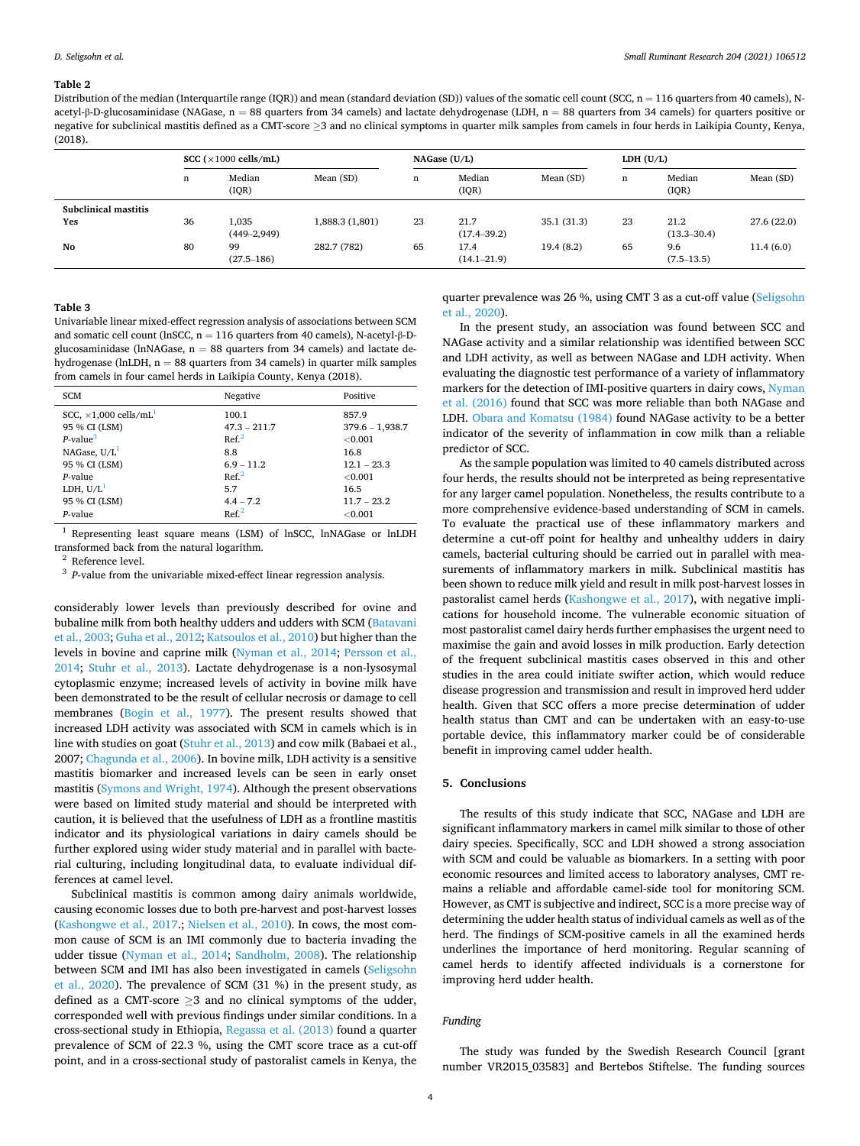#### <span id="page-3-0"></span>**Table 2**

Distribution of the median (Interquartile range (IQR)) and mean (standard deviation (SD)) values of the somatic cell count (SCC,  $n = 116$  quarters from 40 camels), Nacetyl-β-D-glucosaminidase (NAGase,  $n = 88$  quarters from 34 camels) and lactate dehydrogenase (LDH,  $n = 88$  quarters from 34 camels) for quarters positive or negative for subclinical mastitis defined as a CMT-score ≥3 and no clinical symptoms in quarter milk samples from camels in four herds in Laikipia County, Kenya, (2018).

|                      | SCC $(\times 1000 \text{ cells/mL})$ |                           |                 | NAGase (U/L) |                         |            | LDH $(U/L)$ |                         |            |
|----------------------|--------------------------------------|---------------------------|-----------------|--------------|-------------------------|------------|-------------|-------------------------|------------|
|                      | n                                    | Median<br>(IOR)           | Mean (SD)       | n            | Median<br>( IQR)        | Mean (SD)  | n           | Median<br>(IOR)         | Mean (SD)  |
| Subclinical mastitis |                                      |                           |                 |              |                         |            |             |                         |            |
| Yes                  | 36                                   | 1.035<br>$(449 - 2, 949)$ | 1,888.3 (1,801) | 23           | 21.7<br>$(17.4 - 39.2)$ | 35.1(31.3) | 23          | 21.2<br>$(13.3 - 30.4)$ | 27.6(22.0) |
| No                   | 80                                   | 99<br>$(27.5 - 186)$      | 282.7 (782)     | 65           | 17.4<br>$(14.1 - 21.9)$ | 19.4(8.2)  | 65          | 9.6<br>$(7.5 - 13.5)$   | 11.4(6.0)  |

#### **Table 3**

Univariable linear mixed-effect regression analysis of associations between SCM and somatic cell count (lnSCC,  $n = 116$  quarters from 40 camels), N-acetyl- $\beta$ -Dglucosaminidase (lnNAGase,  $n = 88$  quarters from 34 camels) and lactate dehydrogenase (lnLDH,  $n = 88$  quarters from 34 camels) in quarter milk samples from camels in four camel herds in Laikipia County, Kenya (2018).

| <b>SCM</b>                                | Negative         | Positive          |
|-------------------------------------------|------------------|-------------------|
| SCC, $\times$ 1,000 cells/mL <sup>1</sup> | 100.1            | 857.9             |
| 95 % CI (LSM)                             | $47.3 - 211.7$   | $379.6 - 1,938.7$ |
| $P$ -value <sup>3</sup>                   | Ref <sup>2</sup> | ${<}0.001$        |
| NAGase, $U/L1$                            | 8.8              | 16.8              |
| 95 % CI (LSM)                             | $6.9 - 11.2$     | $12.1 - 23.3$     |
| $P$ -value                                | Ref <sup>2</sup> | ${<}0.001$        |
| LDH, $U/L^1$                              | 5.7              | 16.5              |
| 95 % CI (LSM)                             | $4.4 - 7.2$      | $11.7 - 23.2$     |
| P-value                                   | Ref <sup>2</sup> | ${<}0.001$        |

<sup>1</sup> Representing least square means (LSM) of lnSCC, lnNAGase or lnLDH % transformed back from the natural logarithm.<br><sup>2</sup> Reference level.<br><sup>3</sup> *P*-value from the univariable mixed-effect linear regression analysis.

considerably lower levels than previously described for ovine and bubaline milk from both healthy udders and udders with SCM ([Batavani](#page-4-0)  [et al., 2003](#page-4-0); [Guha et al., 2012](#page-4-0); [Katsoulos et al., 2010\)](#page-5-0) but higher than the levels in bovine and caprine milk ([Nyman et al., 2014](#page-5-0); [Persson et al.,](#page-5-0)  [2014;](#page-5-0) [Stuhr et al., 2013\)](#page-5-0). Lactate dehydrogenase is a non-lysosymal cytoplasmic enzyme; increased levels of activity in bovine milk have been demonstrated to be the result of cellular necrosis or damage to cell membranes [\(Bogin et al., 1977](#page-4-0)). The present results showed that increased LDH activity was associated with SCM in camels which is in line with studies on goat [\(Stuhr et al., 2013](#page-5-0)) and cow milk (Babaei et al., 2007; [Chagunda et al., 2006\)](#page-4-0). In bovine milk, LDH activity is a sensitive mastitis biomarker and increased levels can be seen in early onset mastitis [\(Symons and Wright, 1974](#page-5-0)). Although the present observations were based on limited study material and should be interpreted with caution, it is believed that the usefulness of LDH as a frontline mastitis indicator and its physiological variations in dairy camels should be further explored using wider study material and in parallel with bacterial culturing, including longitudinal data, to evaluate individual differences at camel level.

Subclinical mastitis is common among dairy animals worldwide, causing economic losses due to both pre-harvest and post-harvest losses ([Kashongwe et al., 2017](#page-5-0).; [Nielsen et al., 2010\)](#page-5-0). In cows, the most common cause of SCM is an IMI commonly due to bacteria invading the udder tissue [\(Nyman et al., 2014;](#page-5-0) [Sandholm, 2008\)](#page-5-0). The relationship between SCM and IMI has also been investigated in camels [\(Seligsohn](#page-5-0)  [et al., 2020](#page-5-0)). The prevalence of SCM (31 %) in the present study, as defined as a CMT-score  $\geq$ 3 and no clinical symptoms of the udder, corresponded well with previous findings under similar conditions. In a cross-sectional study in Ethiopia, [Regassa et al. \(2013\)](#page-5-0) found a quarter prevalence of SCM of 22.3 %, using the CMT score trace as a cut-off point, and in a cross-sectional study of pastoralist camels in Kenya, the

quarter prevalence was 26 %, using CMT 3 as a cut-off value [\(Seligsohn](#page-5-0)  [et al., 2020\)](#page-5-0).

In the present study, an association was found between SCC and NAGase activity and a similar relationship was identified between SCC and LDH activity, as well as between NAGase and LDH activity. When evaluating the diagnostic test performance of a variety of inflammatory markers for the detection of IMI-positive quarters in dairy cows, [Nyman](#page-5-0)  [et al. \(2016\)](#page-5-0) found that SCC was more reliable than both NAGase and LDH. [Obara and Komatsu \(1984\)](#page-5-0) found NAGase activity to be a better indicator of the severity of inflammation in cow milk than a reliable predictor of SCC.

As the sample population was limited to 40 camels distributed across four herds, the results should not be interpreted as being representative for any larger camel population. Nonetheless, the results contribute to a more comprehensive evidence-based understanding of SCM in camels. To evaluate the practical use of these inflammatory markers and determine a cut-off point for healthy and unhealthy udders in dairy camels, bacterial culturing should be carried out in parallel with measurements of inflammatory markers in milk. Subclinical mastitis has been shown to reduce milk yield and result in milk post-harvest losses in pastoralist camel herds [\(Kashongwe et al., 2017\)](#page-5-0), with negative implications for household income. The vulnerable economic situation of most pastoralist camel dairy herds further emphasises the urgent need to maximise the gain and avoid losses in milk production. Early detection of the frequent subclinical mastitis cases observed in this and other studies in the area could initiate swifter action, which would reduce disease progression and transmission and result in improved herd udder health. Given that SCC offers a more precise determination of udder health status than CMT and can be undertaken with an easy-to-use portable device, this inflammatory marker could be of considerable benefit in improving camel udder health.

#### **5. Conclusions**

The results of this study indicate that SCC, NAGase and LDH are significant inflammatory markers in camel milk similar to those of other dairy species. Specifically, SCC and LDH showed a strong association with SCM and could be valuable as biomarkers. In a setting with poor economic resources and limited access to laboratory analyses, CMT remains a reliable and affordable camel-side tool for monitoring SCM. However, as CMT is subjective and indirect, SCC is a more precise way of determining the udder health status of individual camels as well as of the herd. The findings of SCM-positive camels in all the examined herds underlines the importance of herd monitoring. Regular scanning of camel herds to identify affected individuals is a cornerstone for improving herd udder health.

## *Funding*

The study was funded by the Swedish Research Council [grant number VR2015\_03583] and Bertebos Stiftelse. The funding sources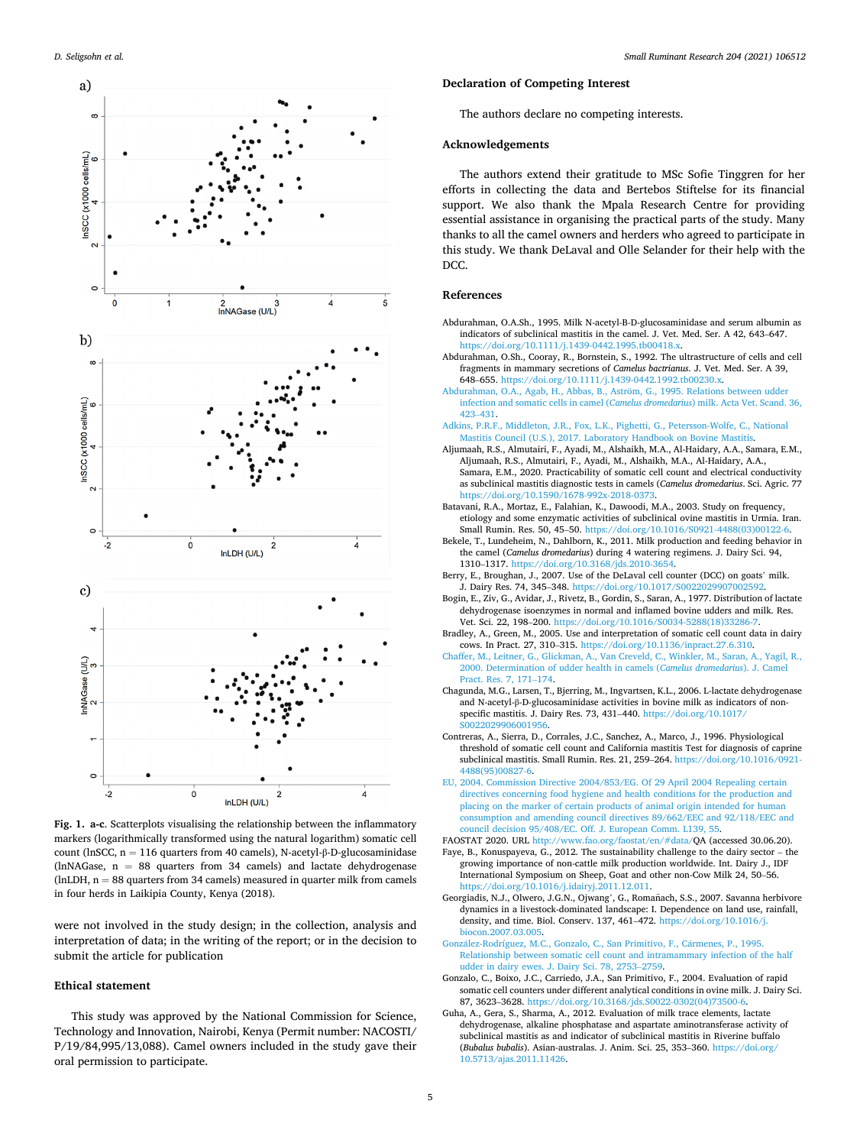<span id="page-4-0"></span>

**Fig. 1. a-c**. Scatterplots visualising the relationship between the inflammatory markers (logarithmically transformed using the natural logarithm) somatic cell count (lnSCC, n = 116 quarters from 40 camels), N-acetyl-β-D-glucosaminidase (lnNAGase,  $n = 88$  quarters from 34 camels) and lactate dehydrogenase (lnLDH,  $n = 88$  quarters from 34 camels) measured in quarter milk from camels in four herds in Laikipia County, Kenya (2018).

were not involved in the study design; in the collection, analysis and interpretation of data; in the writing of the report; or in the decision to submit the article for publication

## **Ethical statement**

This study was approved by the National Commission for Science, Technology and Innovation, Nairobi, Kenya (Permit number: NACOSTI/ P/19/84,995/13,088). Camel owners included in the study gave their oral permission to participate.

## **Declaration of Competing Interest**

The authors declare no competing interests.

## **Acknowledgements**

The authors extend their gratitude to MSc Sofie Tinggren for her efforts in collecting the data and Bertebos Stiftelse for its financial support. We also thank the Mpala Research Centre for providing essential assistance in organising the practical parts of the study. Many thanks to all the camel owners and herders who agreed to participate in this study. We thank DeLaval and Olle Selander for their help with the D<sub>CC</sub>

#### **References**

- Abdurahman, O.A.Sh., 1995. Milk N-acetyl-B-D-glucosaminidase and serum albumin as indicators of subclinical mastitis in the camel. J. Vet. Med. Ser. A 42, 643–647. <https://doi.org/10.1111/j.1439-0442.1995.tb00418.x>.
- Abdurahman, O.Sh., Cooray, R., Bornstein, S., 1992. The ultrastructure of cells and cell fragments in mammary secretions of *Camelus bactrianus*. J. Vet. Med. Ser. A 39, 648–655. <https://doi.org/10.1111/j.1439-0442.1992.tb00230.x>.
- Abdurahman, O.A., Agab, H., Abbas, B., Aström, G., 1995. Relations between udder [infection and somatic cells in camel \(](http://refhub.elsevier.com/S0921-4488(21)00189-9/sbref0015)*Camelus dromedarius*) milk. Acta Vet. Scand. 36, 423–[431](http://refhub.elsevier.com/S0921-4488(21)00189-9/sbref0015).
- [Adkins, P.R.F., Middleton, J.R., Fox, L.K., Pighetti, G., Petersson-Wolfe, C., National](http://refhub.elsevier.com/S0921-4488(21)00189-9/sbref0020) [Mastitis Council \(U.S.\), 2017. Laboratory Handbook on Bovine Mastitis.](http://refhub.elsevier.com/S0921-4488(21)00189-9/sbref0020)
- Aljumaah, R.S., Almutairi, F., Ayadi, M., Alshaikh, M.A., Al-Haidary, A.A., Samara, E.M., Aljumaah, R.S., Almutairi, F., Ayadi, M., Alshaikh, M.A., Al-Haidary, A.A., Samara, E.M., 2020. Practicability of somatic cell count and electrical conductivity as subclinical mastitis diagnostic tests in camels (*Camelus dromedarius*. Sci. Agric. 77 https://doi.org/10.1590/1678-992x-2018-037
- Batavani, R.A., Mortaz, E., Falahian, K., Dawoodi, M.A., 2003. Study on frequency, etiology and some enzymatic activities of subclinical ovine mastitis in Urmia. Iran. Small Rumin. Res. 50, 45-50. https://doi.org/10.1016/S0921-4488(03)00122-
- Bekele, T., Lundeheim, N., Dahlborn, K., 2011. Milk production and feeding behavior in the camel (*Camelus dromedarius*) during 4 watering regimens. J. Dairy Sci. 94, 1310–1317. [https://doi.org/10.3168/jds.2010-3654.](https://doi.org/10.3168/jds.2010-3654)
- Berry, E., Broughan, J., 2007. Use of the DeLaval cell counter (DCC) on goats' milk. J. Dairy Res. 74, 345–348. <https://doi.org/10.1017/S0022029907002592>.
- Bogin, E., Ziv, G., Avidar, J., Rivetz, B., Gordin, S., Saran, A., 1977. Distribution of lactate dehydrogenase isoenzymes in normal and inflamed bovine udders and milk. Res. Vet. Sci. 22, 198–200. [https://doi.org/10.1016/S0034-5288\(18\)33286-7](https://doi.org/10.1016/S0034-5288(18)33286-7).
- Bradley, A., Green, M., 2005. Use and interpretation of somatic cell count data in dairy cows. In Pract. 27, 310–315.<https://doi.org/10.1136/inpract.27.6.310>.
- [Chaffer, M., Leitner, G., Glickman, A., Van Creveld, C., Winkler, M., Saran, A., Yagil, R.,](http://refhub.elsevier.com/S0921-4488(21)00189-9/sbref0055)  [2000. Determination of udder health in camels \(](http://refhub.elsevier.com/S0921-4488(21)00189-9/sbref0055)*Camelus dromedarius*). J. Camel [Pract. Res. 7, 171](http://refhub.elsevier.com/S0921-4488(21)00189-9/sbref0055)–174.
- Chagunda, M.G., Larsen, T., Bjerring, M., Ingvartsen, K.L., 2006. L-lactate dehydrogenase and N-acetyl-β-D-glucosaminidase activities in bovine milk as indicators of nonspecific mastitis. J. Dairy Res. 73, 431–440. [https://doi.org/10.1017/](https://doi.org/10.1017/S0022029906001956) 0220299060019
- Contreras, A., Sierra, D., Corrales, J.C., Sanchez, A., Marco, J., 1996. Physiological threshold of somatic cell count and California mastitis Test for diagnosis of caprine subclinical mastitis. Small Rumin. Res. 21, 259–264. [https://doi.org/10.1016/0921-](https://doi.org/10.1016/0921-4488(95)00827-6)  [4488\(95\)00827-6](https://doi.org/10.1016/0921-4488(95)00827-6).
- [EU, 2004. Commission Directive 2004/853/EG. Of 29 April 2004 Repealing certain](http://refhub.elsevier.com/S0921-4488(21)00189-9/sbref0070) [directives concerning food hygiene and health conditions for the production and](http://refhub.elsevier.com/S0921-4488(21)00189-9/sbref0070)  [placing on the marker of certain products of animal origin intended for human](http://refhub.elsevier.com/S0921-4488(21)00189-9/sbref0070) [consumption and amending council directives 89/662/EEC and 92/118/EEC and](http://refhub.elsevier.com/S0921-4488(21)00189-9/sbref0070) [council decision 95/408/EC. Off. J. European Comm. L139, 55](http://refhub.elsevier.com/S0921-4488(21)00189-9/sbref0070).
- FAOSTAT 2020. URL <http://www.fao.org/faostat/en/#data/>QA (accessed 30.06.20). Faye, B., Konuspayeva, G., 2012. The sustainability challenge to the dairy sector – the growing importance of non-cattle milk production worldwide. Int. Dairy J., IDF International Symposium on Sheep, Goat and other non-Cow Milk 24, 50–56. <https://doi.org/10.1016/j.idairyj.2011.12.011>.
- Georgiadis, N.J., Olwero, J.G.N., Ojwang', G., Romañach, S.S., 2007. Savanna herbivore dynamics in a livestock-dominated landscape: I. Dependence on land use, rainfall, density, and time. Biol. Conserv. 137, 461–472. [https://doi.org/10.1016/j.](https://doi.org/10.1016/j.biocon.2007.03.005) [biocon.2007.03.005](https://doi.org/10.1016/j.biocon.2007.03.005).
- González-Rodríguez, [M.C., Gonzalo, C., San Primitivo, F., C](http://refhub.elsevier.com/S0921-4488(21)00189-9/sbref0090)ármenes, P., 1995. [Relationship between somatic cell count and intramammary infection of the half](http://refhub.elsevier.com/S0921-4488(21)00189-9/sbref0090) [udder in dairy ewes. J. Dairy Sci. 78, 2753](http://refhub.elsevier.com/S0921-4488(21)00189-9/sbref0090)–2759.
- Gonzalo, C., Boixo, J.C., Carriedo, J.A., San Primitivo, F., 2004. Evaluation of rapid somatic cell counters under different analytical conditions in ovine milk. J. Dairy Sci. 87, 3623–3628. [https://doi.org/10.3168/jds.S0022-0302\(04\)73500-6.](https://doi.org/10.3168/jds.S0022-0302(04)73500-6)
- Guha, A., Gera, S., Sharma, A., 2012. Evaluation of milk trace elements, lactate dehydrogenase, alkaline phosphatase and aspartate aminotransferase activity of subclinical mastitis as and indicator of subclinical mastitis in Riverine buffalo (*Bubalus bubalis*). Asian-australas. J. Anim. Sci. 25, 353–360. [https://doi.org/](https://doi.org/10.5713/ajas.2011.11426) [10.5713/ajas.2011.11426.](https://doi.org/10.5713/ajas.2011.11426)